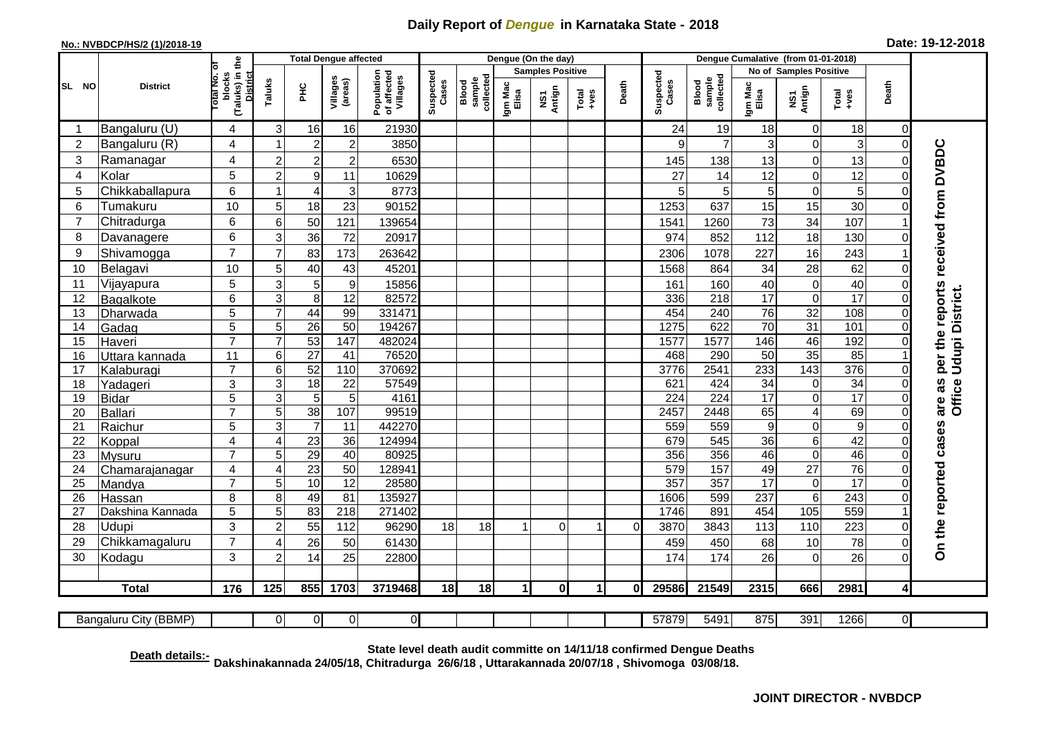## **Daily Report of** *Dengue* **in Karnataka State - 2018**

## **No.: NVBDCP/HS/2 (1)/2018-19 Date: 19-12-2018**

|                       |                              | the                                                 |                     |                  | <b>Total Dengue affected</b> |                                       |                    |                              |                         | Dengue (On the day) |                      |          |                    |                              |                       |                                     |                  |                            |                                     |
|-----------------------|------------------------------|-----------------------------------------------------|---------------------|------------------|------------------------------|---------------------------------------|--------------------|------------------------------|-------------------------|---------------------|----------------------|----------|--------------------|------------------------------|-----------------------|-------------------------------------|------------------|----------------------------|-------------------------------------|
|                       |                              |                                                     |                     |                  |                              |                                       |                    |                              | <b>Samples Positive</b> |                     |                      |          |                    |                              |                       | No of Samples Positive              |                  |                            |                                     |
| SL NO                 | <b>District</b>              | Total No. of<br>(Taluks) in t<br>District<br>blocks | Taluks              | <b>PHC</b>       | Villages<br>(areas)          | Population<br>of affected<br>Villages | Suspected<br>Cases | sample<br>collected<br>Blood | Igm Mac<br>Elisa        | NS1<br>Antign       | $Total$              | Death    | Suspected<br>Cases | collected<br>sample<br>Blood | Igm Mac<br>Elisa      | NS1<br>Antign                       | $Tota$<br>$+ves$ | Death                      |                                     |
|                       | Bangaluru (U)                | 4                                                   | 3                   | 16               | 16                           | 21930                                 |                    |                              |                         |                     |                      |          | 24                 | 19                           | 18                    | 0                                   | 18               | 0                          |                                     |
| $\overline{2}$        | Bangaluru (R)                | 4                                                   |                     | $\overline{2}$   | $\overline{c}$               | 3850                                  |                    |                              |                         |                     |                      |          | 9                  | $\overline{7}$               | 3                     | 0                                   | 3                | $\mathbf 0$                |                                     |
| 3                     | Ramanagar                    | 4                                                   | $\overline{2}$      | $\overline{2}$   | $\overline{c}$               | 6530                                  |                    |                              |                         |                     |                      |          | 145                | 138                          | 13                    | 0                                   | 13               | $\Omega$                   | per the reports received from DVBDC |
| $\overline{4}$        | Kolar                        | 5                                                   | $\overline{2}$      | $\boldsymbol{9}$ | 11                           | 10629                                 |                    |                              |                         |                     |                      |          | 27                 | 14                           | 12                    | 0                                   | 12               | $\mathbf 0$                |                                     |
| 5                     | Chikkaballapura              | 6                                                   |                     | $\overline{4}$   | 3                            | 8773                                  |                    |                              |                         |                     |                      |          | 5                  | 5                            | 5                     | 0                                   | 5                | $\mathbf 0$                |                                     |
| 6                     | Tumakuru                     | 10                                                  | 5                   | 18               | 23                           | 90152                                 |                    |                              |                         |                     |                      |          | 1253               | 637                          | 15                    | 15                                  | 30               | $\Omega$                   |                                     |
| $\overline{7}$        | Chitradurga                  | 6                                                   | 6                   | 50               | 121                          | 139654                                |                    |                              |                         |                     |                      |          | 1541               | 1260                         | 73                    | 34                                  | 107              |                            |                                     |
| 8                     | Davanagere                   | 6                                                   | 3                   | 36               | 72                           | 20917                                 |                    |                              |                         |                     |                      |          | 974                | 852                          | 112                   | 18                                  | 130              | $\Omega$                   |                                     |
| 9                     | Shivamogga                   | $\overline{7}$                                      | $\overline{7}$      | 83               | 173                          | 263642                                |                    |                              |                         |                     |                      |          | 2306               | 1078                         | 227                   | 16                                  | 243              |                            |                                     |
| 10                    | Belagavi                     | 10                                                  | 5                   | 40               | 43                           | 45201                                 |                    |                              |                         |                     |                      |          | 1568               | 864                          | 34                    | 28                                  | 62               | $\overline{0}$             |                                     |
| 11                    | Vijayapura                   | 5                                                   | 3                   | 5                | $\boldsymbol{9}$             | 15856                                 |                    |                              |                         |                     |                      |          | 161                | 160                          | 40                    | $\pmb{0}$                           | 40               | $\mathbf 0$                |                                     |
| 12                    | Bagalkote                    | 6                                                   | 3                   | $\bf 8$          | $\overline{12}$              | 82572                                 |                    |                              |                         |                     |                      |          | 336                | $\overline{218}$             | $\overline{17}$       | 0                                   | 17               | $\mathbf 0$                | Udupi District.                     |
| 13                    | Dharwada                     | $\overline{5}$                                      | 7                   | 44               | 99                           | 331471                                |                    |                              |                         |                     |                      |          | 454                | 240                          | $\overline{76}$       | 32                                  | 108              | $\mathbf 0$                |                                     |
| 14                    | Gadag                        | $\overline{5}$                                      | 5                   | $\overline{26}$  | $\overline{50}$              | 194267                                |                    |                              |                         |                     |                      |          | 1275               | 622                          | 70                    | $\overline{31}$                     | 101              | $\mathbf 0$                |                                     |
| 15                    | Haveri                       | $\overline{7}$                                      | $\overline{7}$      | $\overline{53}$  | 147                          | 482024                                |                    |                              |                         |                     |                      |          | 1577               | 1577                         | 146                   | 46                                  | 192              | $\mathbf 0$                |                                     |
| 16                    | Uttara kannada               | 11                                                  | 6                   | $\overline{27}$  | 41                           | 76520                                 |                    |                              |                         |                     |                      |          | 468                | 290                          | 50                    | $\overline{35}$                     | 85               |                            |                                     |
| 17                    | Kalaburagi                   | $\overline{7}$                                      | 6                   | 52               | 110                          | 370692                                |                    |                              |                         |                     |                      |          | 3776               | 2541                         | 233                   | 143                                 | 376              | $\Omega$                   |                                     |
| 18                    | Yadageri                     | 3                                                   | 3                   | 18               | 22                           | 57549                                 |                    |                              |                         |                     |                      |          | 621                | 424                          | 34                    | 0                                   | 34               | $\Omega$                   | are as<br>Office <sup>1</sup>       |
| 19                    | Bidar                        | 5                                                   | 3                   | 5                | 5                            | 4161                                  |                    |                              |                         |                     |                      |          | 224                | 224                          | 17                    | 0                                   | $\overline{17}$  | $\Omega$                   |                                     |
| 20                    | Ballari                      | $\overline{7}$                                      | 5                   | 38               | 107                          | 99519                                 |                    |                              |                         |                     |                      |          | 2457               | 2448                         | 65                    | $\overline{4}$                      | 69               | $\overline{0}$             |                                     |
| 21                    | Raichur                      | 5                                                   | 3                   | $\overline{7}$   | 11                           | 442270                                |                    |                              |                         |                     |                      |          | 559                | 559                          | 9                     | 0                                   | $\boldsymbol{9}$ | $\mathbf 0$                |                                     |
| 22                    | Koppal                       | 4                                                   | $\overline{4}$      | 23               | 36                           | 124994                                |                    |                              |                         |                     |                      |          | 679                | 545                          | 36                    | 6                                   | 42               | $\mathbf 0$                |                                     |
| 23                    | Mysuru                       | $\overline{7}$                                      | 5<br>$\overline{4}$ | 29               | 40                           | 80925                                 |                    |                              |                         |                     |                      |          | 356                | 356                          | 46                    | $\overline{0}$                      | 46<br>76         | $\overline{0}$<br>$\Omega$ |                                     |
| 24<br>$\overline{25}$ | Chamarajanagar<br>Mandya     | $\overline{\mathbf{4}}$<br>$\overline{7}$           | 5                   | 23<br>10         | 50<br>$\overline{12}$        | 128941<br>28580                       |                    |                              |                         |                     |                      |          | 579<br>357         | 157<br>357                   | 49<br>$\overline{17}$ | $\overline{27}$<br>$\boldsymbol{0}$ | $\overline{17}$  | $\Omega$                   |                                     |
| 26                    | Hassan                       | 8                                                   | 8                   | 49               | 81                           | 135927                                |                    |                              |                         |                     |                      |          | 1606               | 599                          | 237                   | $\overline{6}$                      | 243              | $\overline{0}$             |                                     |
| 27                    | Dakshina Kannada             | 5                                                   | 5                   | 83               | 218                          | 271402                                |                    |                              |                         |                     |                      |          | 1746               | 891                          | 454                   | 105                                 | 559              |                            |                                     |
| 28                    | <b>Udupi</b>                 | 3                                                   | $\overline{2}$      | 55               | 112                          | 96290                                 | 18                 | 18                           |                         | $\Omega$            | 1                    | $\Omega$ | 3870               | 3843                         | 113                   | 110                                 | 223              | $\Omega$                   |                                     |
| 29                    | Chikkamagaluru               | $\overline{7}$                                      | $\overline{4}$      | 26               | 50                           | 61430                                 |                    |                              |                         |                     |                      |          | 459                | 450                          | 68                    | 10                                  | 78               | $\Omega$                   |                                     |
| 30                    | Kodagu                       | 3                                                   | $\overline{2}$      | 14               | 25                           | 22800                                 |                    |                              |                         |                     |                      |          | 174                | 174                          | 26                    | 0                                   | 26               | $\Omega$                   | On the reported cases               |
|                       |                              |                                                     |                     |                  |                              |                                       |                    |                              |                         |                     |                      |          |                    |                              |                       |                                     |                  |                            |                                     |
|                       | <b>Total</b>                 | 176                                                 | 125                 | 855              | 1703                         | 3719468                               | 18                 | 18                           | $\mathbf{1}$            | 0                   | $\blacktriangleleft$ | ΩI       | 29586              | 21549                        | 2315                  | 666                                 | 2981             | $\overline{4}$             |                                     |
|                       | <b>Bangaluru City (BBMP)</b> |                                                     | $\overline{0}$      | $\overline{0}$   | $\overline{0}$               | $\overline{0}$                        |                    |                              |                         |                     |                      |          | 57879              | $\overline{549}1$            | 875                   | 391                                 | 1266             | $\overline{0}$             |                                     |
|                       |                              |                                                     |                     |                  |                              |                                       |                    |                              |                         |                     |                      |          |                    |                              |                       |                                     |                  |                            |                                     |

**Death details:- State level death audit committe on 14/11/18 confirmed Dengue Deaths Dakshinakannada 24/05/18, Chitradurga 26/6/18 , Uttarakannada 20/07/18 , Shivomoga 03/08/18.**